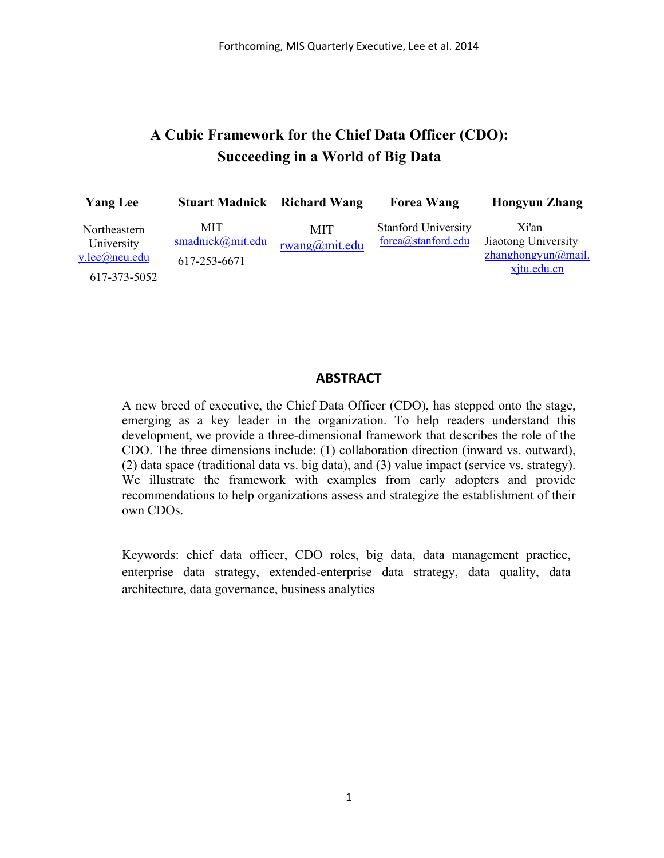# **A Cubic Framework for the Chief Data Officer (CDO): Succeeding in a World of Big Data**

| <b>Yang Lee</b>                                             | <b>Stuart Madnick</b>                          | <b>Richard Wang</b>                   | <b>Forea Wang</b>                                | <b>Hongyun Zhang</b>                                              |
|-------------------------------------------------------------|------------------------------------------------|---------------------------------------|--------------------------------------------------|-------------------------------------------------------------------|
| Northeastern<br>University<br>y.lee@neu.edu<br>617-373-5052 | <b>MIT</b><br>smadnick@mit.edu<br>617-253-6671 | <b>MIT</b><br>$rwang(\omega)$ mit.edu | <b>Stanford University</b><br>forea@stanford.edu | Xi'an<br>Jiaotong University<br>zhanghongyun@mail.<br>xjtu.edu.cn |

## **ABSTRACT**

A new breed of executive, the Chief Data Officer (CDO), has stepped onto the stage, emerging as a key leader in the organization. To help readers understand this development, we provide a three-dimensional framework that describes the role of the CDO. The three dimensions include: (1) collaboration direction (inward vs. outward), (2) data space (traditional data vs. big data), and (3) value impact (service vs. strategy). We illustrate the framework with examples from early adopters and provide recommendations to help organizations assess and strategize the establishment of their own CDOs.

Keywords: chief data officer, CDO roles, big data, data management practice, enterprise data strategy, extended-enterprise data strategy, data quality, data architecture, data governance, business analytics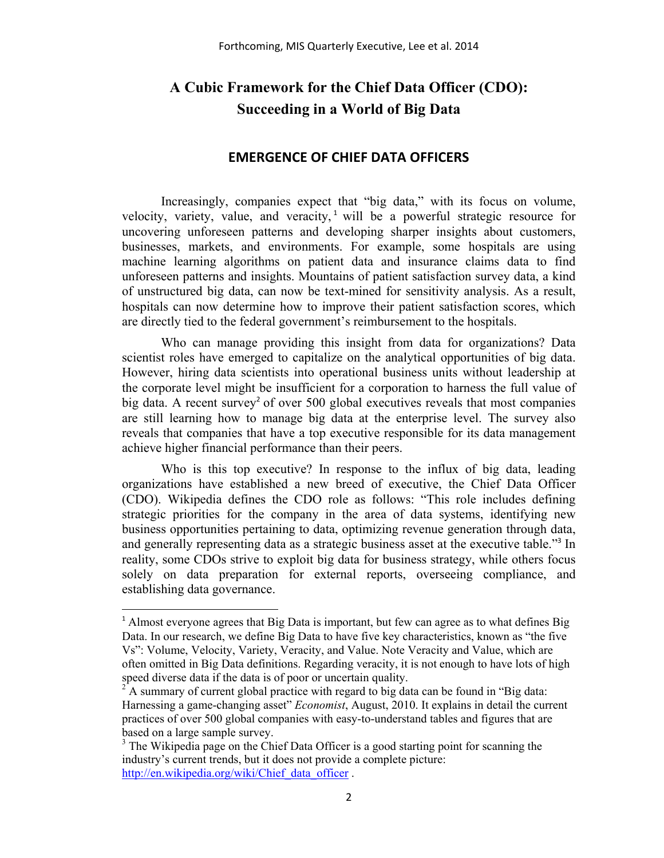# **A Cubic Framework for the Chief Data Officer (CDO): Succeeding in a World of Big Data**

## **EMERGENCE OF CHIEF DATA OFFICERS**

Increasingly, companies expect that "big data," with its focus on volume, velocity, variety, value, and veracity,<sup>1</sup> will be a powerful strategic resource for uncovering unforeseen patterns and developing sharper insights about customers, businesses, markets, and environments. For example, some hospitals are using machine learning algorithms on patient data and insurance claims data to find unforeseen patterns and insights. Mountains of patient satisfaction survey data, a kind of unstructured big data, can now be text-mined for sensitivity analysis. As a result, hospitals can now determine how to improve their patient satisfaction scores, which are directly tied to the federal government's reimbursement to the hospitals.

Who can manage providing this insight from data for organizations? Data scientist roles have emerged to capitalize on the analytical opportunities of big data. However, hiring data scientists into operational business units without leadership at the corporate level might be insufficient for a corporation to harness the full value of big data. A recent survey<sup>2</sup> of over 500 global executives reveals that most companies are still learning how to manage big data at the enterprise level. The survey also reveals that companies that have a top executive responsible for its data management achieve higher financial performance than their peers.

 Who is this top executive? In response to the influx of big data, leading organizations have established a new breed of executive, the Chief Data Officer (CDO). Wikipedia defines the CDO role as follows: "This role includes defining strategic priorities for the company in the area of data systems, identifying new business opportunities pertaining to data, optimizing revenue generation through data, and generally representing data as a strategic business asset at the executive table."<sup>3</sup> In reality, some CDOs strive to exploit big data for business strategy, while others focus solely on data preparation for external reports, overseeing compliance, and establishing data governance.

<sup>&</sup>lt;sup>1</sup> Almost everyone agrees that Big Data is important, but few can agree as to what defines Big Data. In our research, we define Big Data to have five key characteristics, known as "the five Vs": Volume, Velocity, Variety, Veracity, and Value. Note Veracity and Value, which are often omitted in Big Data definitions. Regarding veracity, it is not enough to have lots of high speed diverse data if the data is of poor or uncertain quality.

 $2^{2}$ A summary of current global practice with regard to big data can be found in "Big data: Harnessing a game-changing asset" *Economist*, August, 2010. It explains in detail the current practices of over 500 global companies with easy-to-understand tables and figures that are based on a large sample survey.

<sup>&</sup>lt;sup>3</sup> The Wikipedia page on the Chief Data Officer is a good starting point for scanning the industry's current trends, but it does not provide a complete picture: http://en.wikipedia.org/wiki/Chief\_data\_officer .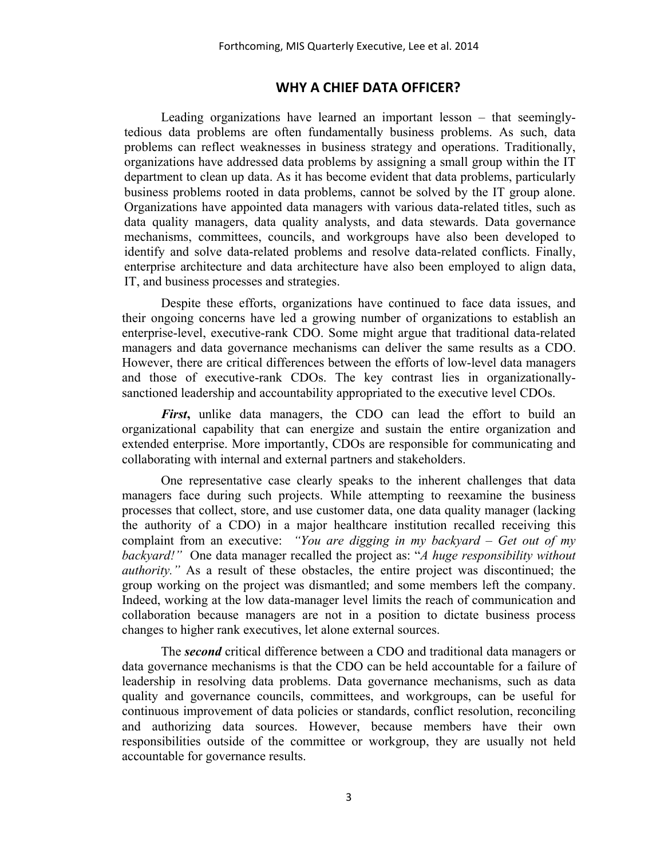#### **WHY A CHIEF DATA OFFICER?**

Leading organizations have learned an important lesson – that seeminglytedious data problems are often fundamentally business problems. As such, data problems can reflect weaknesses in business strategy and operations. Traditionally, organizations have addressed data problems by assigning a small group within the IT department to clean up data. As it has become evident that data problems, particularly business problems rooted in data problems, cannot be solved by the IT group alone. Organizations have appointed data managers with various data-related titles, such as data quality managers, data quality analysts, and data stewards. Data governance mechanisms, committees, councils, and workgroups have also been developed to identify and solve data-related problems and resolve data-related conflicts. Finally, enterprise architecture and data architecture have also been employed to align data, IT, and business processes and strategies.

 Despite these efforts, organizations have continued to face data issues, and their ongoing concerns have led a growing number of organizations to establish an enterprise-level, executive-rank CDO. Some might argue that traditional data-related managers and data governance mechanisms can deliver the same results as a CDO. However, there are critical differences between the efforts of low-level data managers and those of executive-rank CDOs. The key contrast lies in organizationallysanctioned leadership and accountability appropriated to the executive level CDOs.

First, unlike data managers, the CDO can lead the effort to build an organizational capability that can energize and sustain the entire organization and extended enterprise. More importantly, CDOs are responsible for communicating and collaborating with internal and external partners and stakeholders.

One representative case clearly speaks to the inherent challenges that data managers face during such projects. While attempting to reexamine the business processes that collect, store, and use customer data, one data quality manager (lacking the authority of a CDO) in a major healthcare institution recalled receiving this complaint from an executive: *"You are digging in my backyard – Get out of my backyard!"* One data manager recalled the project as: "*A huge responsibility without authority."* As a result of these obstacles, the entire project was discontinued; the group working on the project was dismantled; and some members left the company. Indeed, working at the low data-manager level limits the reach of communication and collaboration because managers are not in a position to dictate business process changes to higher rank executives, let alone external sources.

The *second* critical difference between a CDO and traditional data managers or data governance mechanisms is that the CDO can be held accountable for a failure of leadership in resolving data problems. Data governance mechanisms, such as data quality and governance councils, committees, and workgroups, can be useful for continuous improvement of data policies or standards, conflict resolution, reconciling and authorizing data sources. However, because members have their own responsibilities outside of the committee or workgroup, they are usually not held accountable for governance results.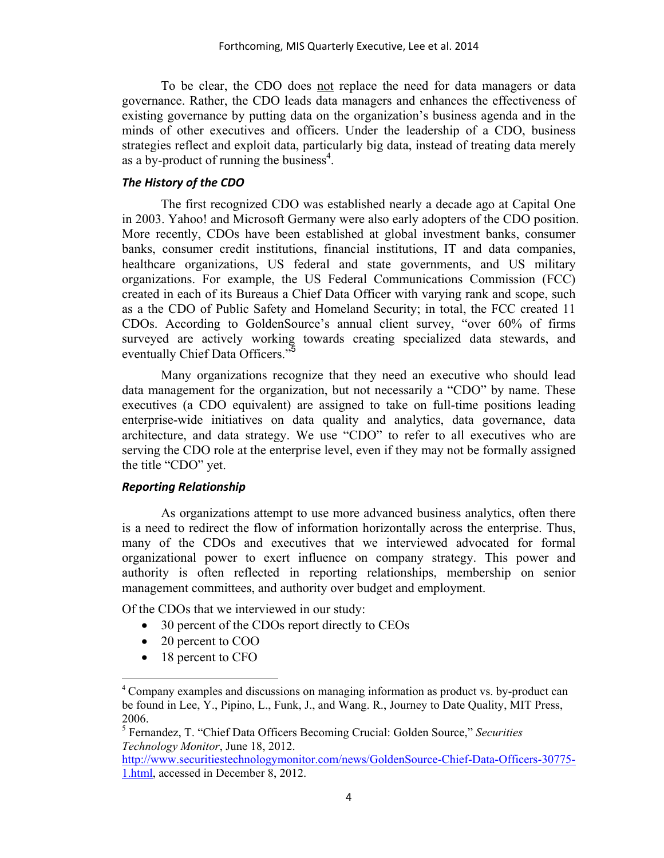To be clear, the CDO does not replace the need for data managers or data governance. Rather, the CDO leads data managers and enhances the effectiveness of existing governance by putting data on the organization's business agenda and in the minds of other executives and officers. Under the leadership of a CDO, business strategies reflect and exploit data, particularly big data, instead of treating data merely as a by-product of running the business<sup>4</sup>.

#### *The History of the CDO*

The first recognized CDO was established nearly a decade ago at Capital One in 2003. Yahoo! and Microsoft Germany were also early adopters of the CDO position. More recently, CDOs have been established at global investment banks, consumer banks, consumer credit institutions, financial institutions, IT and data companies, healthcare organizations, US federal and state governments, and US military organizations. For example, the US Federal Communications Commission (FCC) created in each of its Bureaus a Chief Data Officer with varying rank and scope, such as a the CDO of Public Safety and Homeland Security; in total, the FCC created 11 CDOs. According to GoldenSource's annual client survey, "over 60% of firms surveyed are actively working towards creating specialized data stewards, and eventually Chief Data Officers."<sup>5</sup>

Many organizations recognize that they need an executive who should lead data management for the organization, but not necessarily a "CDO" by name. These executives (a CDO equivalent) are assigned to take on full-time positions leading enterprise-wide initiatives on data quality and analytics, data governance, data architecture, and data strategy. We use "CDO" to refer to all executives who are serving the CDO role at the enterprise level, even if they may not be formally assigned the title "CDO" yet.

#### *Reporting Relationship*

As organizations attempt to use more advanced business analytics, often there is a need to redirect the flow of information horizontally across the enterprise. Thus, many of the CDOs and executives that we interviewed advocated for formal organizational power to exert influence on company strategy. This power and authority is often reflected in reporting relationships, membership on senior management committees, and authority over budget and employment.

Of the CDOs that we interviewed in our study:

- 30 percent of the CDOs report directly to CEOs
- $\bullet$  20 percent to COO
- $\bullet$  18 percent to CFO

<sup>&</sup>lt;sup>4</sup> Company examples and discussions on managing information as product vs. by-product can be found in Lee, Y., Pipino, L., Funk, J., and Wang. R., Journey to Date Quality, MIT Press, 2006.

<sup>5</sup> Fernandez, T. "Chief Data Officers Becoming Crucial: Golden Source," *Securities Technology Monitor*, June 18, 2012.

http://www.securitiestechnologymonitor.com/news/GoldenSource-Chief-Data-Officers-30775- 1.html, accessed in December 8, 2012.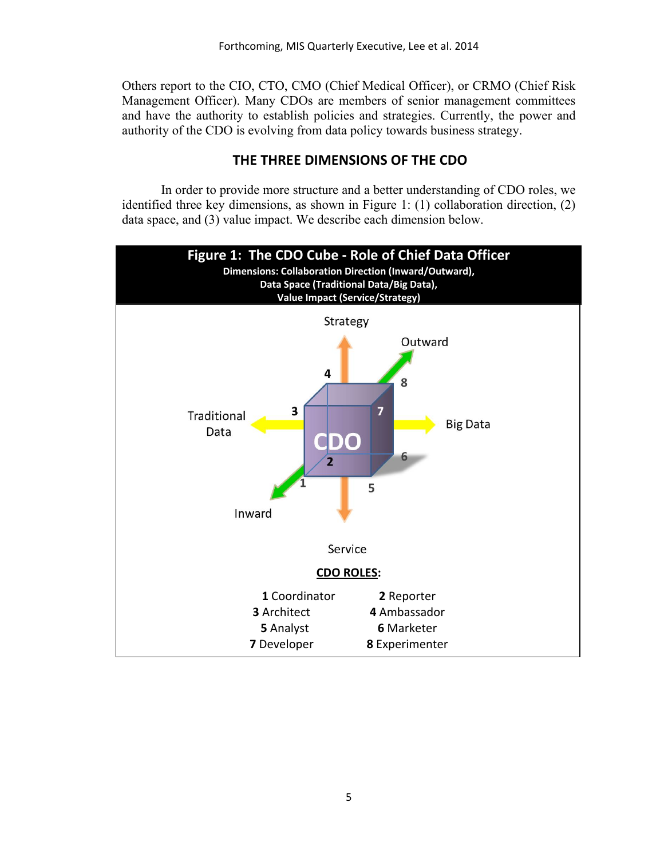Others report to the CIO, CTO, CMO (Chief Medical Officer), or CRMO (Chief Risk Management Officer). Many CDOs are members of senior management committees and have the authority to establish policies and strategies. Currently, the power and authority of the CDO is evolving from data policy towards business strategy.

## **THE THREE DIMENSIONS OF THE CDO**

In order to provide more structure and a better understanding of CDO roles, we identified three key dimensions, as shown in Figure 1: (1) collaboration direction, (2) data space, and (3) value impact. We describe each dimension below.

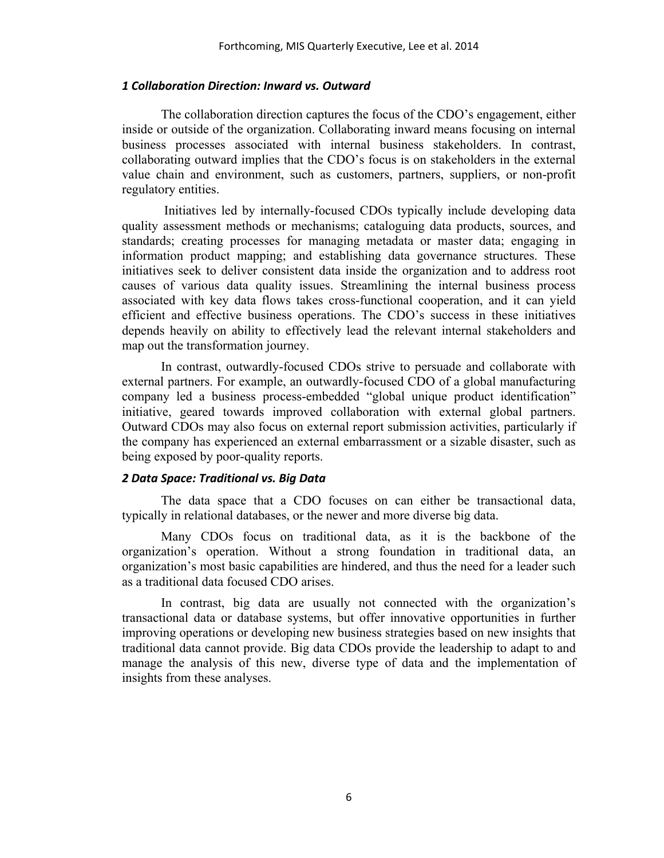#### *1 Collaboration Direction: Inward vs. Outward*

The collaboration direction captures the focus of the CDO's engagement, either inside or outside of the organization. Collaborating inward means focusing on internal business processes associated with internal business stakeholders. In contrast, collaborating outward implies that the CDO's focus is on stakeholders in the external value chain and environment, such as customers, partners, suppliers, or non-profit regulatory entities.

 Initiatives led by internally-focused CDOs typically include developing data quality assessment methods or mechanisms; cataloguing data products, sources, and standards; creating processes for managing metadata or master data; engaging in information product mapping; and establishing data governance structures. These initiatives seek to deliver consistent data inside the organization and to address root causes of various data quality issues. Streamlining the internal business process associated with key data flows takes cross-functional cooperation, and it can yield efficient and effective business operations. The CDO's success in these initiatives depends heavily on ability to effectively lead the relevant internal stakeholders and map out the transformation journey.

In contrast, outwardly-focused CDOs strive to persuade and collaborate with external partners. For example, an outwardly-focused CDO of a global manufacturing company led a business process-embedded "global unique product identification" initiative, geared towards improved collaboration with external global partners. Outward CDOs may also focus on external report submission activities, particularly if the company has experienced an external embarrassment or a sizable disaster, such as being exposed by poor-quality reports.

#### *2 Data Space: Traditional vs. Big Data*

The data space that a CDO focuses on can either be transactional data, typically in relational databases, or the newer and more diverse big data.

Many CDOs focus on traditional data, as it is the backbone of the organization's operation. Without a strong foundation in traditional data, an organization's most basic capabilities are hindered, and thus the need for a leader such as a traditional data focused CDO arises.

In contrast, big data are usually not connected with the organization's transactional data or database systems, but offer innovative opportunities in further improving operations or developing new business strategies based on new insights that traditional data cannot provide. Big data CDOs provide the leadership to adapt to and manage the analysis of this new, diverse type of data and the implementation of insights from these analyses.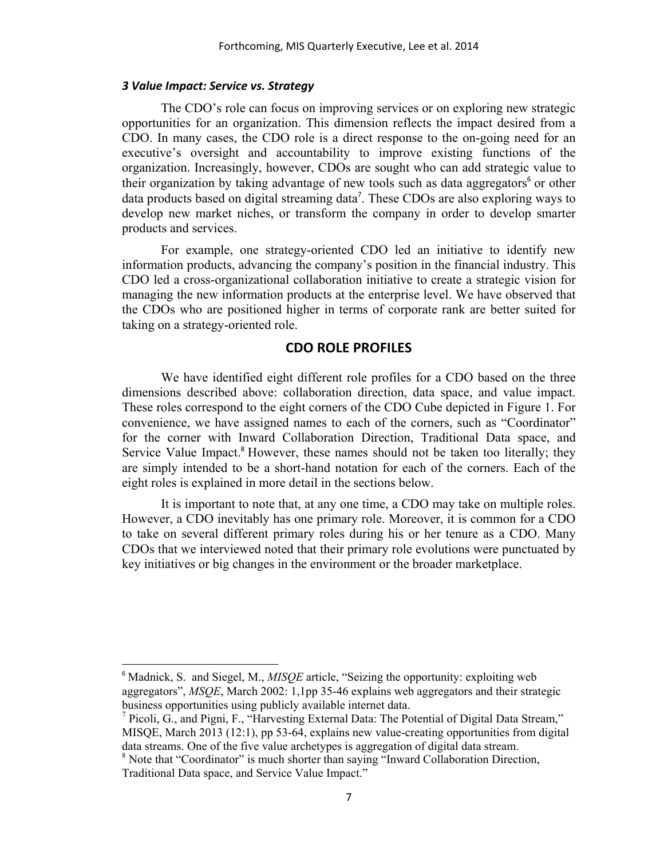#### *3 Value Impact: Service vs. Strategy*

The CDO's role can focus on improving services or on exploring new strategic opportunities for an organization. This dimension reflects the impact desired from a CDO. In many cases, the CDO role is a direct response to the on-going need for an executive's oversight and accountability to improve existing functions of the organization. Increasingly, however, CDOs are sought who can add strategic value to their organization by taking advantage of new tools such as data aggregators<sup>6</sup> or other data products based on digital streaming data<sup>7</sup>. These CDOs are also exploring ways to develop new market niches, or transform the company in order to develop smarter products and services.

 For example, one strategy-oriented CDO led an initiative to identify new information products, advancing the company's position in the financial industry. This CDO led a cross-organizational collaboration initiative to create a strategic vision for managing the new information products at the enterprise level. We have observed that the CDOs who are positioned higher in terms of corporate rank are better suited for taking on a strategy-oriented role.

#### **CDO ROLE PROFILES**

We have identified eight different role profiles for a CDO based on the three dimensions described above: collaboration direction, data space, and value impact. These roles correspond to the eight corners of the CDO Cube depicted in Figure 1. For convenience, we have assigned names to each of the corners, such as "Coordinator" for the corner with Inward Collaboration Direction, Traditional Data space, and Service Value Impact.<sup>8</sup> However, these names should not be taken too literally; they are simply intended to be a short-hand notation for each of the corners. Each of the eight roles is explained in more detail in the sections below.

It is important to note that, at any one time, a CDO may take on multiple roles. However, a CDO inevitably has one primary role. Moreover, it is common for a CDO to take on several different primary roles during his or her tenure as a CDO. Many CDOs that we interviewed noted that their primary role evolutions were punctuated by key initiatives or big changes in the environment or the broader marketplace.

<sup>6</sup> Madnick, S. and Siegel, M., *MISQE* article, "Seizing the opportunity: exploiting web aggregators", *MSQE*, March 2002: 1,1pp 35-46 explains web aggregators and their strategic business opportunities using publicly available internet data.

<sup>&</sup>lt;sup>7</sup> Picoli, G., and Pigni, F., "Harvesting External Data: The Potential of Digital Data Stream," MISQE, March 2013 (12:1), pp 53-64, explains new value-creating opportunities from digital data streams. One of the five value archetypes is aggregation of digital data stream.

<sup>&</sup>lt;sup>8</sup> Note that "Coordinator" is much shorter than saying "Inward Collaboration Direction, Traditional Data space, and Service Value Impact."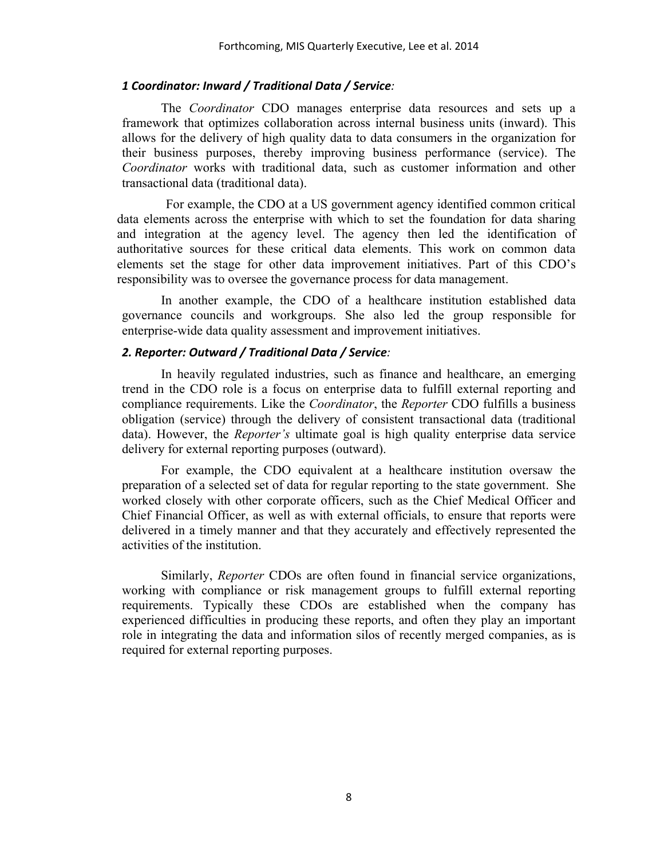#### *1 Coordinator: Inward / Traditional Data / Service:*

The *Coordinator* CDO manages enterprise data resources and sets up a framework that optimizes collaboration across internal business units (inward). This allows for the delivery of high quality data to data consumers in the organization for their business purposes, thereby improving business performance (service). The *Coordinator* works with traditional data, such as customer information and other transactional data (traditional data).

For example, the CDO at a US government agency identified common critical data elements across the enterprise with which to set the foundation for data sharing and integration at the agency level. The agency then led the identification of authoritative sources for these critical data elements. This work on common data elements set the stage for other data improvement initiatives. Part of this CDO's responsibility was to oversee the governance process for data management.

In another example, the CDO of a healthcare institution established data governance councils and workgroups. She also led the group responsible for enterprise-wide data quality assessment and improvement initiatives.

#### *2. Reporter: Outward / Traditional Data / Service:*

In heavily regulated industries, such as finance and healthcare, an emerging trend in the CDO role is a focus on enterprise data to fulfill external reporting and compliance requirements. Like the *Coordinator*, the *Reporter* CDO fulfills a business obligation (service) through the delivery of consistent transactional data (traditional data). However, the *Reporter's* ultimate goal is high quality enterprise data service delivery for external reporting purposes (outward).

For example, the CDO equivalent at a healthcare institution oversaw the preparation of a selected set of data for regular reporting to the state government. She worked closely with other corporate officers, such as the Chief Medical Officer and Chief Financial Officer, as well as with external officials, to ensure that reports were delivered in a timely manner and that they accurately and effectively represented the activities of the institution.

Similarly, *Reporter* CDOs are often found in financial service organizations, working with compliance or risk management groups to fulfill external reporting requirements. Typically these CDOs are established when the company has experienced difficulties in producing these reports, and often they play an important role in integrating the data and information silos of recently merged companies, as is required for external reporting purposes.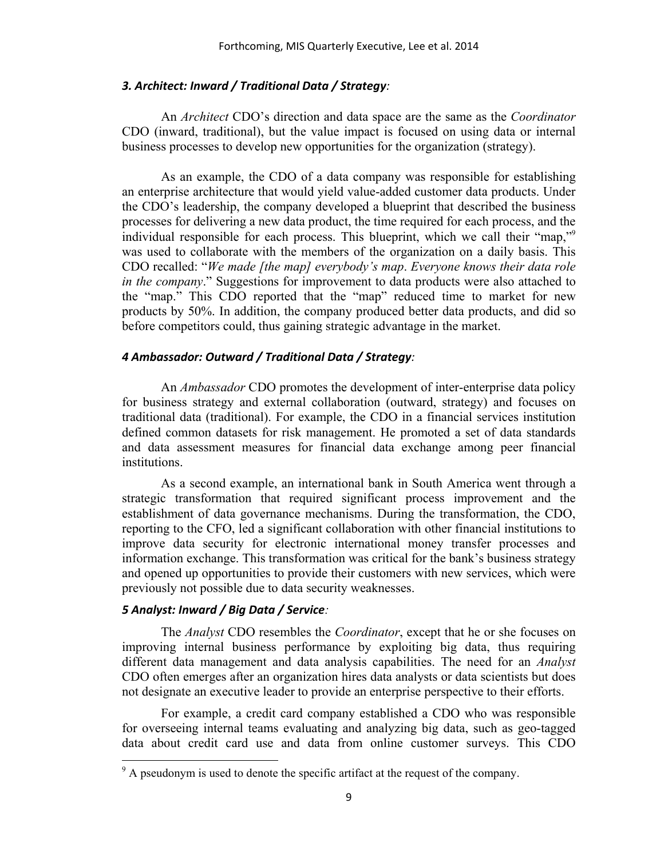#### *3. Architect: Inward / Traditional Data / Strategy:*

An *Architect* CDO's direction and data space are the same as the *Coordinator* CDO (inward, traditional), but the value impact is focused on using data or internal business processes to develop new opportunities for the organization (strategy).

As an example, the CDO of a data company was responsible for establishing an enterprise architecture that would yield value-added customer data products. Under the CDO's leadership, the company developed a blueprint that described the business processes for delivering a new data product, the time required for each process, and the individual responsible for each process. This blueprint, which we call their "map,"9 was used to collaborate with the members of the organization on a daily basis. This CDO recalled: "*We made [the map] everybody's map*. *Everyone knows their data role in the company*." Suggestions for improvement to data products were also attached to the "map." This CDO reported that the "map" reduced time to market for new products by 50%. In addition, the company produced better data products, and did so before competitors could, thus gaining strategic advantage in the market.

#### *4 Ambassador: Outward / Traditional Data / Strategy:*

An *Ambassador* CDO promotes the development of inter-enterprise data policy for business strategy and external collaboration (outward, strategy) and focuses on traditional data (traditional). For example, the CDO in a financial services institution defined common datasets for risk management. He promoted a set of data standards and data assessment measures for financial data exchange among peer financial institutions.

As a second example, an international bank in South America went through a strategic transformation that required significant process improvement and the establishment of data governance mechanisms. During the transformation, the CDO, reporting to the CFO, led a significant collaboration with other financial institutions to improve data security for electronic international money transfer processes and information exchange. This transformation was critical for the bank's business strategy and opened up opportunities to provide their customers with new services, which were previously not possible due to data security weaknesses.

## *5 Analyst: Inward / Big Data / Service:*

The *Analyst* CDO resembles the *Coordinator*, except that he or she focuses on improving internal business performance by exploiting big data, thus requiring different data management and data analysis capabilities. The need for an *Analyst*  CDO often emerges after an organization hires data analysts or data scientists but does not designate an executive leader to provide an enterprise perspective to their efforts.

For example, a credit card company established a CDO who was responsible for overseeing internal teams evaluating and analyzing big data, such as geo-tagged data about credit card use and data from online customer surveys. This CDO

<sup>&</sup>lt;sup>9</sup> A pseudonym is used to denote the specific artifact at the request of the company.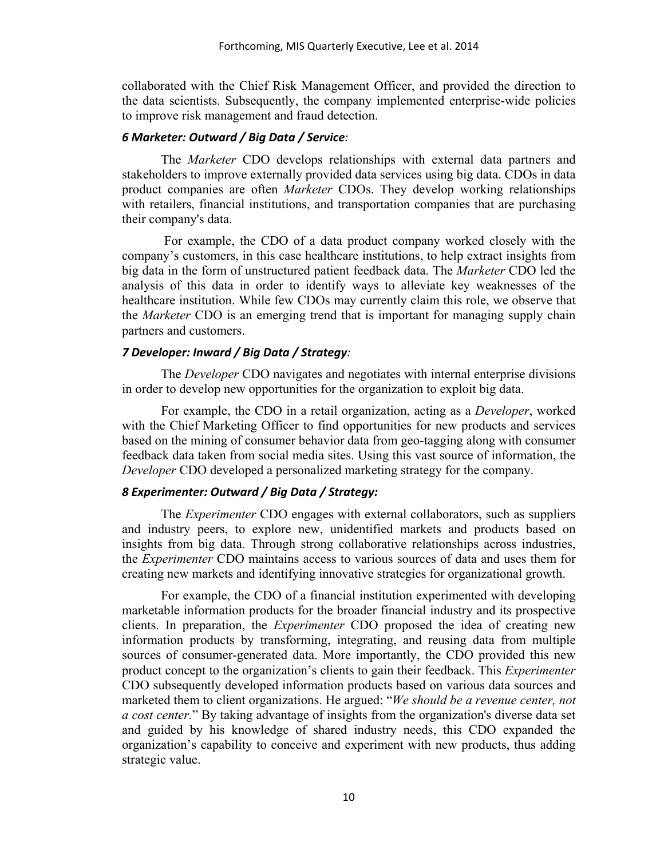collaborated with the Chief Risk Management Officer, and provided the direction to the data scientists. Subsequently, the company implemented enterprise-wide policies to improve risk management and fraud detection.

#### *6 Marketer: Outward / Big Data / Service:*

The *Marketer* CDO develops relationships with external data partners and stakeholders to improve externally provided data services using big data. CDOs in data product companies are often *Marketer* CDOs. They develop working relationships with retailers, financial institutions, and transportation companies that are purchasing their company's data.

 For example, the CDO of a data product company worked closely with the company's customers, in this case healthcare institutions, to help extract insights from big data in the form of unstructured patient feedback data. The *Marketer* CDO led the analysis of this data in order to identify ways to alleviate key weaknesses of the healthcare institution. While few CDOs may currently claim this role, we observe that the *Marketer* CDO is an emerging trend that is important for managing supply chain partners and customers.

#### *7 Developer: Inward / Big Data / Strategy:*

The *Developer* CDO navigates and negotiates with internal enterprise divisions in order to develop new opportunities for the organization to exploit big data.

For example, the CDO in a retail organization, acting as a *Developer*, worked with the Chief Marketing Officer to find opportunities for new products and services based on the mining of consumer behavior data from geo-tagging along with consumer feedback data taken from social media sites. Using this vast source of information, the *Developer* CDO developed a personalized marketing strategy for the company.

#### *8 Experimenter: Outward / Big Data / Strategy:*

The *Experimenter* CDO engages with external collaborators, such as suppliers and industry peers, to explore new, unidentified markets and products based on insights from big data. Through strong collaborative relationships across industries, the *Experimenter* CDO maintains access to various sources of data and uses them for creating new markets and identifying innovative strategies for organizational growth.

For example, the CDO of a financial institution experimented with developing marketable information products for the broader financial industry and its prospective clients. In preparation, the *Experimenter* CDO proposed the idea of creating new information products by transforming, integrating, and reusing data from multiple sources of consumer-generated data. More importantly, the CDO provided this new product concept to the organization's clients to gain their feedback. This *Experimenter* CDO subsequently developed information products based on various data sources and marketed them to client organizations. He argued: "*We should be a revenue center, not a cost center.*" By taking advantage of insights from the organization's diverse data set and guided by his knowledge of shared industry needs, this CDO expanded the organization's capability to conceive and experiment with new products, thus adding strategic value.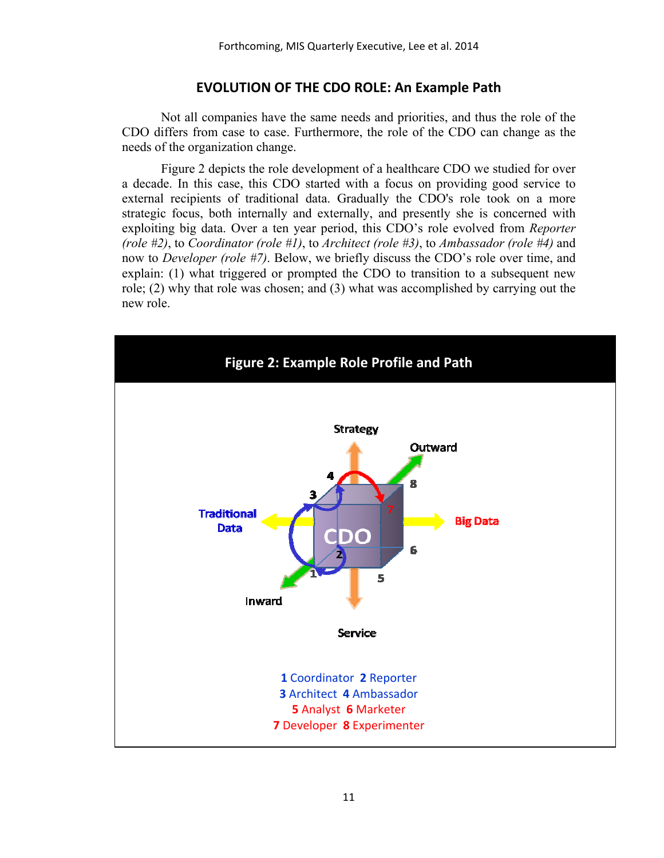## **EVOLUTION OF THE CDO ROLE: An Example Path**

Not all companies have the same needs and priorities, and thus the role of the CDO differs from case to case. Furthermore, the role of the CDO can change as the needs of the organization change.

Figure 2 depicts the role development of a healthcare CDO we studied for over a decade. In this case, this CDO started with a focus on providing good service to external recipients of traditional data. Gradually the CDO's role took on a more strategic focus, both internally and externally, and presently she is concerned with exploiting big data. Over a ten year period, this CDO's role evolved from *Reporter (role #2)*, to *Coordinator (role #1)*, to *Architect (role #3)*, to *Ambassador (role #4)* and now to *Developer (role #7)*. Below, we briefly discuss the CDO's role over time, and explain: (1) what triggered or prompted the CDO to transition to a subsequent new role; (2) why that role was chosen; and (3) what was accomplished by carrying out the new role.

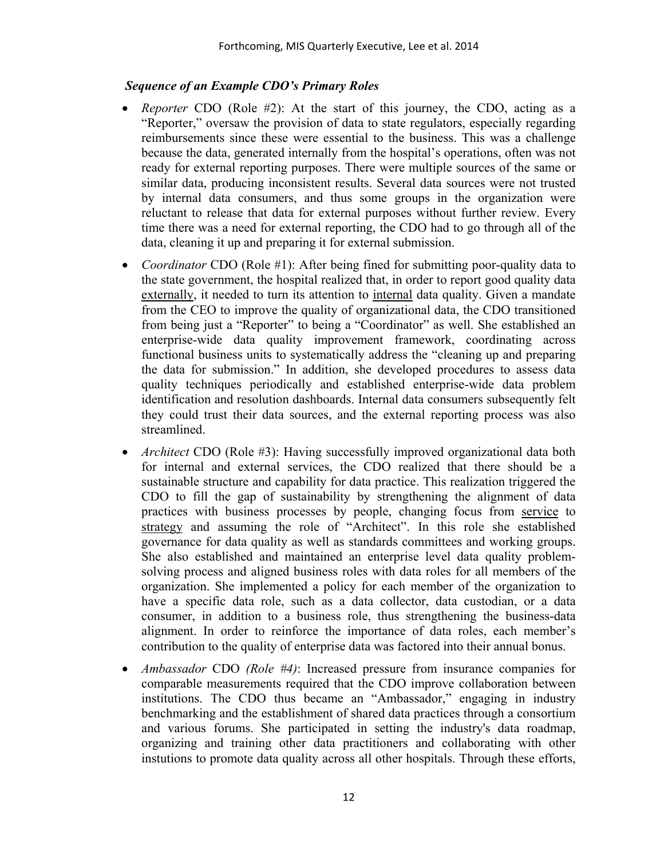## *Sequence of an Example CDO's Primary Roles*

- *Reporter* CDO (Role #2): At the start of this journey, the CDO, acting as a "Reporter," oversaw the provision of data to state regulators, especially regarding reimbursements since these were essential to the business. This was a challenge because the data, generated internally from the hospital's operations, often was not ready for external reporting purposes. There were multiple sources of the same or similar data, producing inconsistent results. Several data sources were not trusted by internal data consumers, and thus some groups in the organization were reluctant to release that data for external purposes without further review. Every time there was a need for external reporting, the CDO had to go through all of the data, cleaning it up and preparing it for external submission.
- *Coordinator CDO* (Role #1): After being fined for submitting poor-quality data to the state government, the hospital realized that, in order to report good quality data externally, it needed to turn its attention to internal data quality. Given a mandate from the CEO to improve the quality of organizational data, the CDO transitioned from being just a "Reporter" to being a "Coordinator" as well. She established an enterprise-wide data quality improvement framework, coordinating across functional business units to systematically address the "cleaning up and preparing the data for submission." In addition, she developed procedures to assess data quality techniques periodically and established enterprise-wide data problem identification and resolution dashboards. Internal data consumers subsequently felt they could trust their data sources, and the external reporting process was also streamlined.
- *Architect* CDO (Role #3): Having successfully improved organizational data both for internal and external services, the CDO realized that there should be a sustainable structure and capability for data practice. This realization triggered the CDO to fill the gap of sustainability by strengthening the alignment of data practices with business processes by people, changing focus from service to strategy and assuming the role of "Architect". In this role she established governance for data quality as well as standards committees and working groups. She also established and maintained an enterprise level data quality problemsolving process and aligned business roles with data roles for all members of the organization. She implemented a policy for each member of the organization to have a specific data role, such as a data collector, data custodian, or a data consumer, in addition to a business role, thus strengthening the business-data alignment. In order to reinforce the importance of data roles, each member's contribution to the quality of enterprise data was factored into their annual bonus.
- x *Ambassador* CDO *(Role #4)*: Increased pressure from insurance companies for comparable measurements required that the CDO improve collaboration between institutions. The CDO thus became an "Ambassador," engaging in industry benchmarking and the establishment of shared data practices through a consortium and various forums. She participated in setting the industry's data roadmap, organizing and training other data practitioners and collaborating with other instutions to promote data quality across all other hospitals. Through these efforts,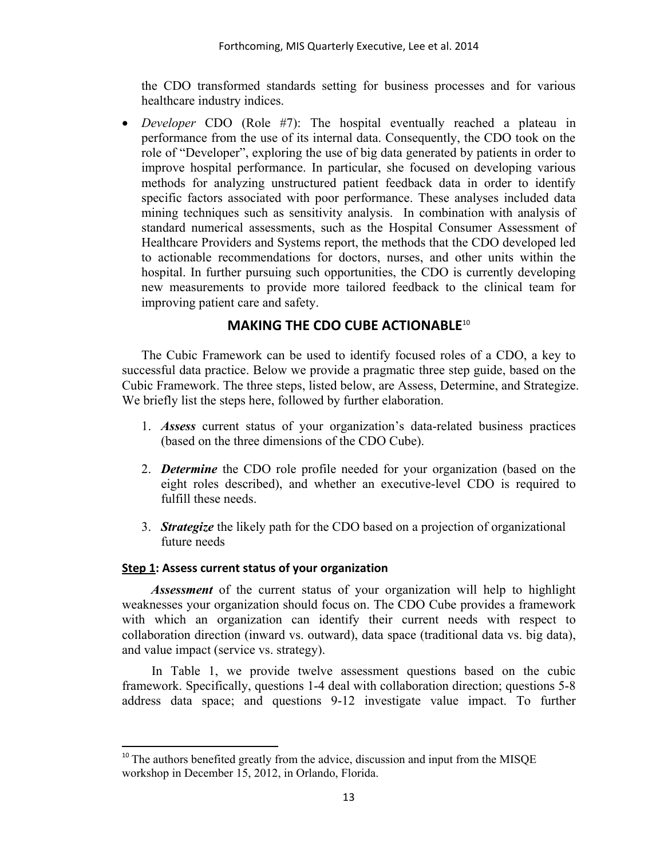the CDO transformed standards setting for business processes and for various healthcare industry indices.

*Developer* CDO (Role #7): The hospital eventually reached a plateau in performance from the use of its internal data. Consequently, the CDO took on the role of "Developer", exploring the use of big data generated by patients in order to improve hospital performance. In particular, she focused on developing various methods for analyzing unstructured patient feedback data in order to identify specific factors associated with poor performance. These analyses included data mining techniques such as sensitivity analysis. In combination with analysis of standard numerical assessments, such as the Hospital Consumer Assessment of Healthcare Providers and Systems report, the methods that the CDO developed led to actionable recommendations for doctors, nurses, and other units within the hospital. In further pursuing such opportunities, the CDO is currently developing new measurements to provide more tailored feedback to the clinical team for improving patient care and safety.

## **MAKING THE CDO CUBE ACTIONABLE**<sup>10</sup>

The Cubic Framework can be used to identify focused roles of a CDO, a key to successful data practice. Below we provide a pragmatic three step guide, based on the Cubic Framework. The three steps, listed below, are Assess, Determine, and Strategize. We briefly list the steps here, followed by further elaboration.

- 1. *Assess* current status of your organization's data-related business practices (based on the three dimensions of the CDO Cube).
- 2. *Determine* the CDO role profile needed for your organization (based on the eight roles described), and whether an executive-level CDO is required to fulfill these needs.
- 3. *Strategize* the likely path for the CDO based on a projection of organizational future needs

## **Step 1: Assess current status of your organization**

*Assessment* of the current status of your organization will help to highlight weaknesses your organization should focus on. The CDO Cube provides a framework with which an organization can identify their current needs with respect to collaboration direction (inward vs. outward), data space (traditional data vs. big data), and value impact (service vs. strategy).

In Table 1, we provide twelve assessment questions based on the cubic framework. Specifically, questions 1-4 deal with collaboration direction; questions 5-8 address data space; and questions 9-12 investigate value impact. To further

 $10$ <sup>10</sup> The authors benefited greatly from the advice, discussion and input from the MISQE workshop in December 15, 2012, in Orlando, Florida.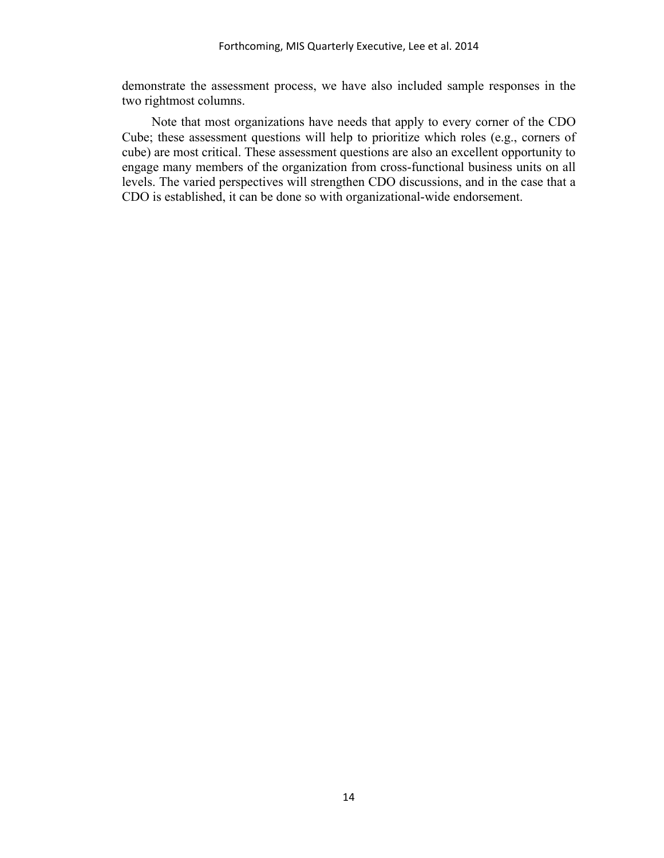demonstrate the assessment process, we have also included sample responses in the two rightmost columns.

Note that most organizations have needs that apply to every corner of the CDO Cube; these assessment questions will help to prioritize which roles (e.g., corners of cube) are most critical. These assessment questions are also an excellent opportunity to engage many members of the organization from cross-functional business units on all levels. The varied perspectives will strengthen CDO discussions, and in the case that a CDO is established, it can be done so with organizational-wide endorsement.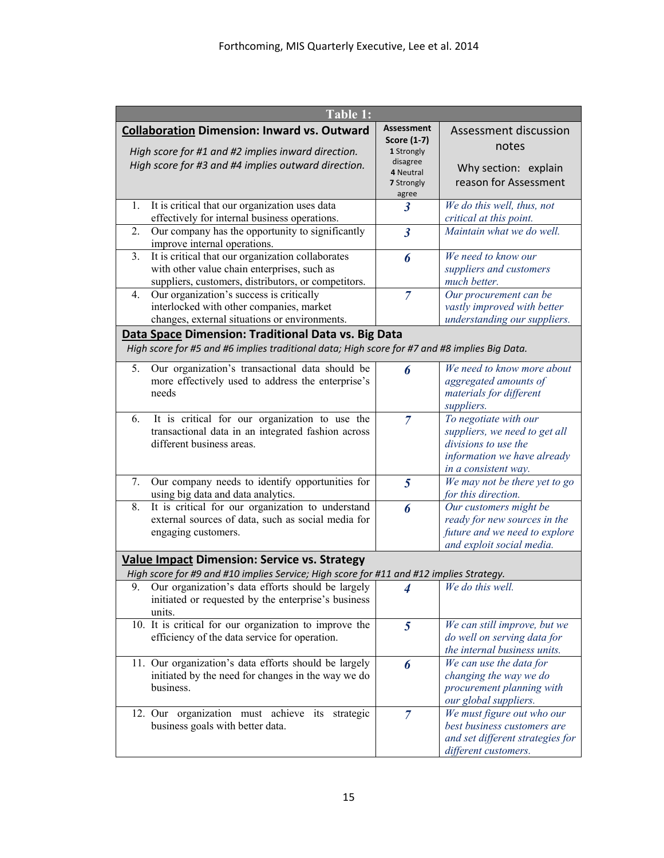| Table 1:                                                                                                                                       |                                         |                                                       |  |  |  |
|------------------------------------------------------------------------------------------------------------------------------------------------|-----------------------------------------|-------------------------------------------------------|--|--|--|
| <b>Collaboration Dimension: Inward vs. Outward</b>                                                                                             | <b>Assessment</b><br><b>Score (1-7)</b> | Assessment discussion                                 |  |  |  |
| High score for #1 and #2 implies inward direction.                                                                                             | 1 Strongly                              | notes                                                 |  |  |  |
| High score for #3 and #4 implies outward direction.                                                                                            | disagree<br>4 Neutral                   | Why section: explain                                  |  |  |  |
|                                                                                                                                                | 7 Strongly<br>agree                     | reason for Assessment                                 |  |  |  |
| It is critical that our organization uses data<br>1.                                                                                           | $\boldsymbol{\beta}$                    | We do this well, thus, not                            |  |  |  |
| effectively for internal business operations.                                                                                                  |                                         | critical at this point.                               |  |  |  |
| Our company has the opportunity to significantly<br>2.<br>improve internal operations.                                                         | $\overline{\mathbf{3}}$                 | Maintain what we do well.                             |  |  |  |
| It is critical that our organization collaborates<br>3.                                                                                        | 6                                       | We need to know our                                   |  |  |  |
| with other value chain enterprises, such as                                                                                                    |                                         | suppliers and customers                               |  |  |  |
| suppliers, customers, distributors, or competitors.                                                                                            |                                         | much better.                                          |  |  |  |
| Our organization's success is critically<br>4.                                                                                                 | $\overline{7}$                          | Our procurement can be                                |  |  |  |
| interlocked with other companies, market                                                                                                       |                                         | vastly improved with better                           |  |  |  |
| changes, external situations or environments.                                                                                                  |                                         | understanding our suppliers.                          |  |  |  |
| Data Space Dimension: Traditional Data vs. Big Data                                                                                            |                                         |                                                       |  |  |  |
| High score for #5 and #6 implies traditional data; High score for #7 and #8 implies Big Data.                                                  |                                         |                                                       |  |  |  |
| Our organization's transactional data should be<br>5 <sub>1</sub>                                                                              | 6                                       | We need to know more about                            |  |  |  |
| more effectively used to address the enterprise's                                                                                              |                                         | aggregated amounts of                                 |  |  |  |
| needs                                                                                                                                          |                                         | materials for different                               |  |  |  |
|                                                                                                                                                |                                         | suppliers.                                            |  |  |  |
| It is critical for our organization to use the<br>6.                                                                                           | $\overline{7}$                          | To negotiate with our                                 |  |  |  |
| transactional data in an integrated fashion across                                                                                             |                                         | suppliers, we need to get all                         |  |  |  |
| different business areas.                                                                                                                      |                                         | divisions to use the                                  |  |  |  |
|                                                                                                                                                |                                         | information we have already                           |  |  |  |
| Our company needs to identify opportunities for<br>7.                                                                                          |                                         | in a consistent way.<br>We may not be there yet to go |  |  |  |
| using big data and data analytics.                                                                                                             | 5                                       | for this direction.                                   |  |  |  |
| It is critical for our organization to understand<br>8.                                                                                        | 6                                       | Our customers might be                                |  |  |  |
| external sources of data, such as social media for                                                                                             |                                         | ready for new sources in the                          |  |  |  |
| engaging customers.                                                                                                                            |                                         | future and we need to explore                         |  |  |  |
|                                                                                                                                                |                                         | and exploit social media.                             |  |  |  |
|                                                                                                                                                |                                         |                                                       |  |  |  |
| <b>Value Impact Dimension: Service vs. Strategy</b><br>High score for #9 and #10 implies Service; High score for #11 and #12 implies Strategy. |                                         |                                                       |  |  |  |
| Our organization's data efforts should be largely<br>9.                                                                                        |                                         | $4$ We do this well.                                  |  |  |  |
| initiated or requested by the enterprise's business                                                                                            |                                         |                                                       |  |  |  |
| units.                                                                                                                                         |                                         |                                                       |  |  |  |
| 10. It is critical for our organization to improve the                                                                                         | 5                                       | We can still improve, but we                          |  |  |  |
| efficiency of the data service for operation.                                                                                                  |                                         | do well on serving data for                           |  |  |  |
|                                                                                                                                                |                                         | the internal business units.                          |  |  |  |
| 11. Our organization's data efforts should be largely                                                                                          | 6                                       | We can use the data for                               |  |  |  |
| initiated by the need for changes in the way we do                                                                                             |                                         | changing the way we do                                |  |  |  |
| business.                                                                                                                                      |                                         | procurement planning with                             |  |  |  |
|                                                                                                                                                |                                         | our global suppliers.                                 |  |  |  |
| 12. Our organization must achieve its<br>strategic                                                                                             | 7                                       | We must figure out who our                            |  |  |  |
| business goals with better data.                                                                                                               |                                         | best business customers are                           |  |  |  |
|                                                                                                                                                |                                         | and set different strategies for                      |  |  |  |
|                                                                                                                                                |                                         | different customers.                                  |  |  |  |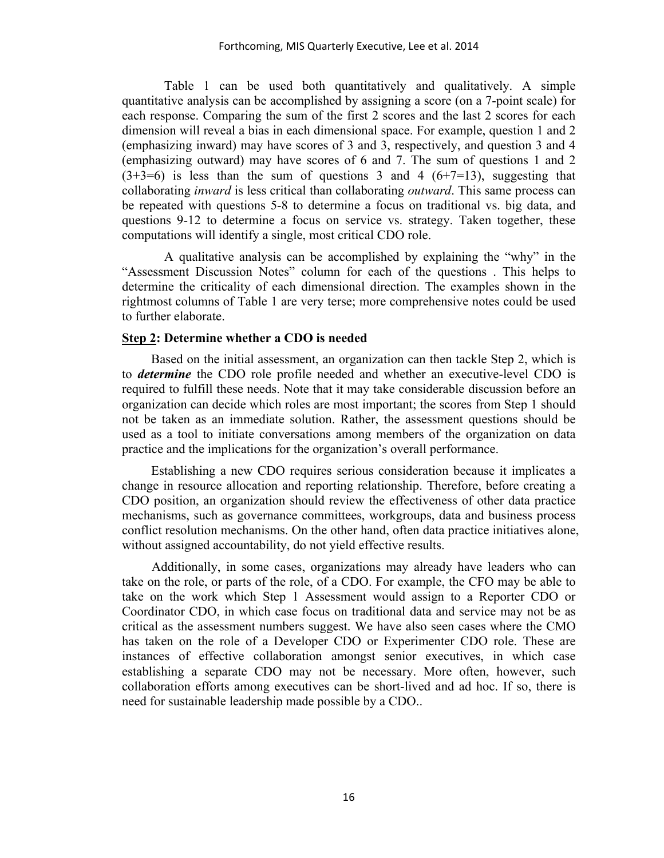Table 1 can be used both quantitatively and qualitatively. A simple quantitative analysis can be accomplished by assigning a score (on a 7-point scale) for each response. Comparing the sum of the first 2 scores and the last 2 scores for each dimension will reveal a bias in each dimensional space. For example, question 1 and 2 (emphasizing inward) may have scores of 3 and 3, respectively, and question 3 and 4 (emphasizing outward) may have scores of 6 and 7. The sum of questions 1 and 2  $(3+3=6)$  is less than the sum of questions 3 and 4  $(6+7=13)$ , suggesting that collaborating *inward* is less critical than collaborating *outward*. This same process can be repeated with questions 5-8 to determine a focus on traditional vs. big data, and questions 9-12 to determine a focus on service vs. strategy. Taken together, these computations will identify a single, most critical CDO role.

 A qualitative analysis can be accomplished by explaining the "why" in the "Assessment Discussion Notes" column for each of the questions . This helps to determine the criticality of each dimensional direction. The examples shown in the rightmost columns of Table 1 are very terse; more comprehensive notes could be used to further elaborate.

#### **Step 2: Determine whether a CDO is needed**

Based on the initial assessment, an organization can then tackle Step 2, which is to *determine* the CDO role profile needed and whether an executive-level CDO is required to fulfill these needs. Note that it may take considerable discussion before an organization can decide which roles are most important; the scores from Step 1 should not be taken as an immediate solution. Rather, the assessment questions should be used as a tool to initiate conversations among members of the organization on data practice and the implications for the organization's overall performance.

Establishing a new CDO requires serious consideration because it implicates a change in resource allocation and reporting relationship. Therefore, before creating a CDO position, an organization should review the effectiveness of other data practice mechanisms, such as governance committees, workgroups, data and business process conflict resolution mechanisms. On the other hand, often data practice initiatives alone, without assigned accountability, do not yield effective results.

Additionally, in some cases, organizations may already have leaders who can take on the role, or parts of the role, of a CDO. For example, the CFO may be able to take on the work which Step 1 Assessment would assign to a Reporter CDO or Coordinator CDO, in which case focus on traditional data and service may not be as critical as the assessment numbers suggest. We have also seen cases where the CMO has taken on the role of a Developer CDO or Experimenter CDO role. These are instances of effective collaboration amongst senior executives, in which case establishing a separate CDO may not be necessary. More often, however, such collaboration efforts among executives can be short-lived and ad hoc. If so, there is need for sustainable leadership made possible by a CDO..